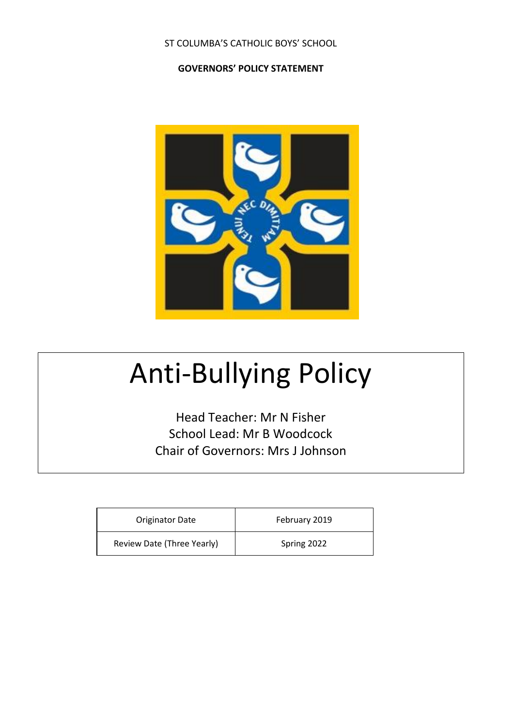#### ST COLUMBA'S CATHOLIC BOYS' SCHOOL

#### **GOVERNORS' POLICY STATEMENT**



# Anti-Bullying Policy

Head Teacher: Mr N Fisher School Lead: Mr B Woodcock Chair of Governors: Mrs J Johnson

| <b>Originator Date</b>     | February 2019 |
|----------------------------|---------------|
| Review Date (Three Yearly) | Spring 2022   |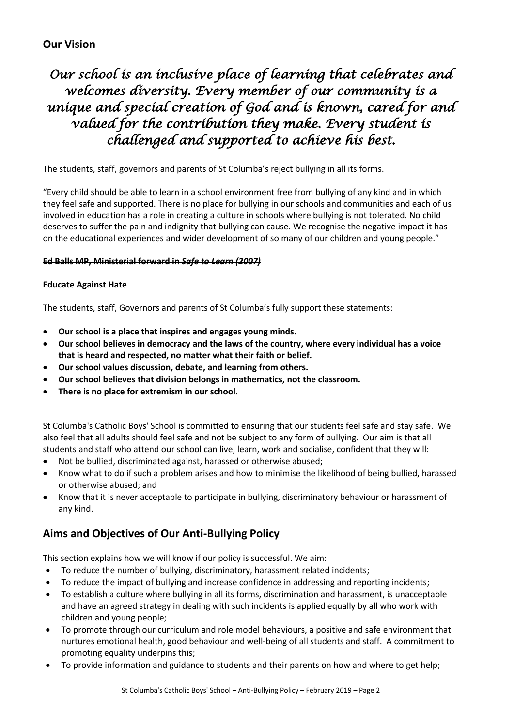# *Our school is an inclusive place of learning that celebrates and welcomes diversity. Every member of our community is a unique and special creation of God and is known, cared for and valued for the contribution they make. Every student is challenged and supported to achieve his best.*

The students, staff, governors and parents of St Columba's reject bullying in all its forms.

"Every child should be able to learn in a school environment free from bullying of any kind and in which they feel safe and supported. There is no place for bullying in our schools and communities and each of us involved in education has a role in creating a culture in schools where bullying is not tolerated. No child deserves to suffer the pain and indignity that bullying can cause. We recognise the negative impact it has on the educational experiences and wider development of so many of our children and young people."

#### **Ed Balls MP, Ministerial forward in** *Safe to Learn (2007)*

#### **Educate Against Hate**

The students, staff, Governors and parents of St Columba's fully support these statements:

- **Our school is a place that inspires and engages young minds.**
- **Our school believes in democracy and the laws of the country, where every individual has a voice that is heard and respected, no matter what their faith or belief.**
- **Our school values discussion, debate, and learning from others.**
- **Our school believes that division belongs in mathematics, not the classroom.**
- **There is no place for extremism in our school**.

St Columba's Catholic Boys' School is committed to ensuring that our students feel safe and stay safe. We also feel that all adults should feel safe and not be subject to any form of bullying. Our aim is that all students and staff who attend our school can live, learn, work and socialise, confident that they will:

- Not be bullied, discriminated against, harassed or otherwise abused;
- Know what to do if such a problem arises and how to minimise the likelihood of being bullied, harassed or otherwise abused; and
- Know that it is never acceptable to participate in bullying, discriminatory behaviour or harassment of any kind.

## **Aims and Objectives of Our Anti-Bullying Policy**

This section explains how we will know if our policy is successful. We aim:

- To reduce the number of bullying, discriminatory, harassment related incidents;
- To reduce the impact of bullying and increase confidence in addressing and reporting incidents;
- To establish a culture where bullying in all its forms, discrimination and harassment, is unacceptable and have an agreed strategy in dealing with such incidents is applied equally by all who work with children and young people;
- To promote through our curriculum and role model behaviours, a positive and safe environment that nurtures emotional health, good behaviour and well-being of all students and staff. A commitment to promoting equality underpins this;
- To provide information and guidance to students and their parents on how and where to get help;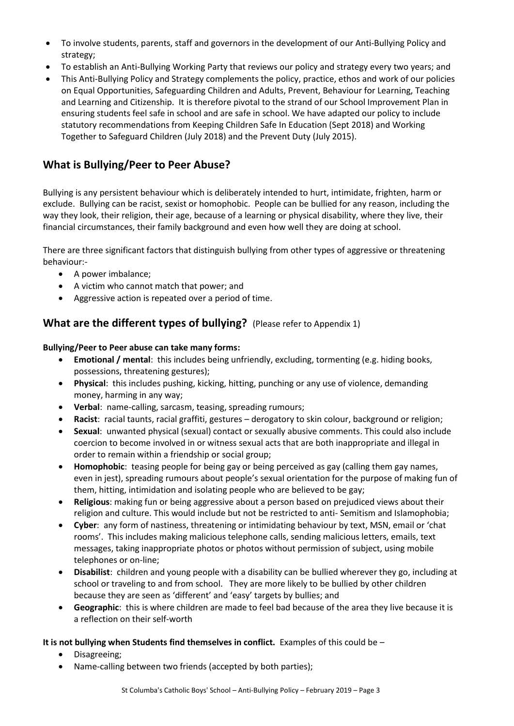- To involve students, parents, staff and governors in the development of our Anti-Bullying Policy and strategy;
- To establish an Anti-Bullying Working Party that reviews our policy and strategy every two years; and
- This Anti-Bullying Policy and Strategy complements the policy, practice, ethos and work of our policies on Equal Opportunities, Safeguarding Children and Adults, Prevent, Behaviour for Learning, Teaching and Learning and Citizenship. It is therefore pivotal to the strand of our School Improvement Plan in ensuring students feel safe in school and are safe in school. We have adapted our policy to include statutory recommendations from Keeping Children Safe In Education (Sept 2018) and Working Together to Safeguard Children (July 2018) and the Prevent Duty (July 2015).

# **What is Bullying/Peer to Peer Abuse?**

Bullying is any persistent behaviour which is deliberately intended to hurt, intimidate, frighten, harm or exclude. Bullying can be racist, sexist or homophobic. People can be bullied for any reason, including the way they look, their religion, their age, because of a learning or physical disability, where they live, their financial circumstances, their family background and even how well they are doing at school.

There are three significant factors that distinguish bullying from other types of aggressive or threatening behaviour:-

- A power imbalance;
- A victim who cannot match that power; and
- Aggressive action is repeated over a period of time.

## **What are the different types of bullying?** (Please refer to Appendix 1)

#### **Bullying/Peer to Peer abuse can take many forms:**

- **Emotional / mental**: this includes being unfriendly, excluding, tormenting (e.g. hiding books, possessions, threatening gestures);
- **Physical**: this includes pushing, kicking, hitting, punching or any use of violence, demanding money, harming in any way;
- **Verbal**: name-calling, sarcasm, teasing, spreading rumours;
- **Racist**: racial taunts, racial graffiti, gestures derogatory to skin colour, background or religion;
- **Sexual**: unwanted physical (sexual) contact or sexually abusive comments. This could also include coercion to become involved in or witness sexual acts that are both inappropriate and illegal in order to remain within a friendship or social group;
- **Homophobic**: teasing people for being gay or being perceived as gay (calling them gay names, even in jest), spreading rumours about people's sexual orientation for the purpose of making fun of them, hitting, intimidation and isolating people who are believed to be gay;
- **Religious**: making fun or being aggressive about a person based on prejudiced views about their religion and culture. This would include but not be restricted to anti- Semitism and Islamophobia;
- **Cyber**: any form of nastiness, threatening or intimidating behaviour by text, MSN, email or 'chat rooms'. This includes making malicious telephone calls, sending malicious letters, emails, text messages, taking inappropriate photos or photos without permission of subject, using mobile telephones or on-line;
- **Disabilist**: children and young people with a disability can be bullied wherever they go, including at school or traveling to and from school. They are more likely to be bullied by other children because they are seen as 'different' and 'easy' targets by bullies; and
- **Geographic**: this is where children are made to feel bad because of the area they live because it is a reflection on their self-worth

#### **It is not bullying when Students find themselves in conflict.** Examples of this could be –

- Disagreeing;
- Name-calling between two friends (accepted by both parties);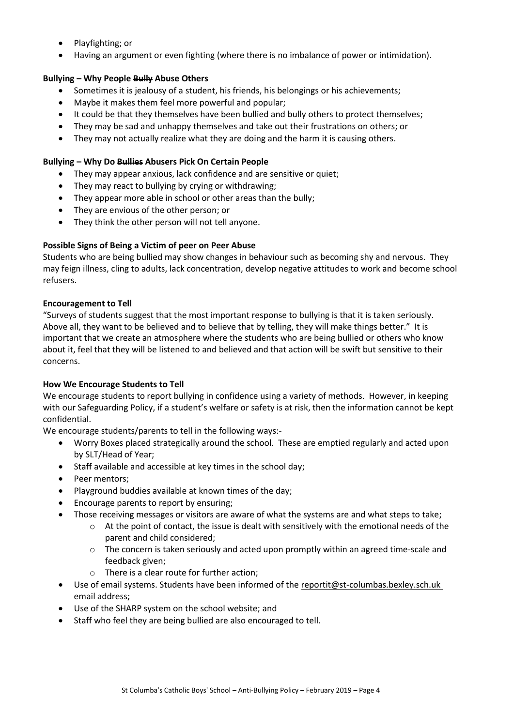- Playfighting; or
- Having an argument or even fighting (where there is no imbalance of power or intimidation).

#### **Bullying – Why People Bully Abuse Others**

- Sometimes it is jealousy of a student, his friends, his belongings or his achievements;
- Maybe it makes them feel more powerful and popular;
- It could be that they themselves have been bullied and bully others to protect themselves;
- They may be sad and unhappy themselves and take out their frustrations on others; or
- They may not actually realize what they are doing and the harm it is causing others.

#### **Bullying – Why Do Bullies Abusers Pick On Certain People**

- They may appear anxious, lack confidence and are sensitive or quiet;
- They may react to bullying by crying or withdrawing:
- They appear more able in school or other areas than the bully;
- They are envious of the other person; or
- They think the other person will not tell anyone.

#### **Possible Signs of Being a Victim of peer on Peer Abuse**

Students who are being bullied may show changes in behaviour such as becoming shy and nervous. They may feign illness, cling to adults, lack concentration, develop negative attitudes to work and become school refusers.

#### **Encouragement to Tell**

"Surveys of students suggest that the most important response to bullying is that it is taken seriously. Above all, they want to be believed and to believe that by telling, they will make things better." It is important that we create an atmosphere where the students who are being bullied or others who know about it, feel that they will be listened to and believed and that action will be swift but sensitive to their concerns.

#### **How We Encourage Students to Tell**

We encourage students to report bullying in confidence using a variety of methods. However, in keeping with our Safeguarding Policy, if a student's welfare or safety is at risk, then the information cannot be kept confidential.

We encourage students/parents to tell in the following ways:-

- Worry Boxes placed strategically around the school. These are emptied regularly and acted upon by SLT/Head of Year;
- Staff available and accessible at key times in the school day;
- Peer mentors;
- Playground buddies available at known times of the day;
- Encourage parents to report by ensuring;
- Those receiving messages or visitors are aware of what the systems are and what steps to take;
	- o At the point of contact, the issue is dealt with sensitively with the emotional needs of the parent and child considered;
		- $\circ$  The concern is taken seriously and acted upon promptly within an agreed time-scale and feedback given;
		- o There is a clear route for further action;
- Use of email systems. Students have been informed of th[e reportit@st-columbas.bexley.sch.uk](mailto:reportit@st-columbas.bexley.sch.uk) email address;
- Use of the SHARP system on the school website; and
- Staff who feel they are being bullied are also encouraged to tell.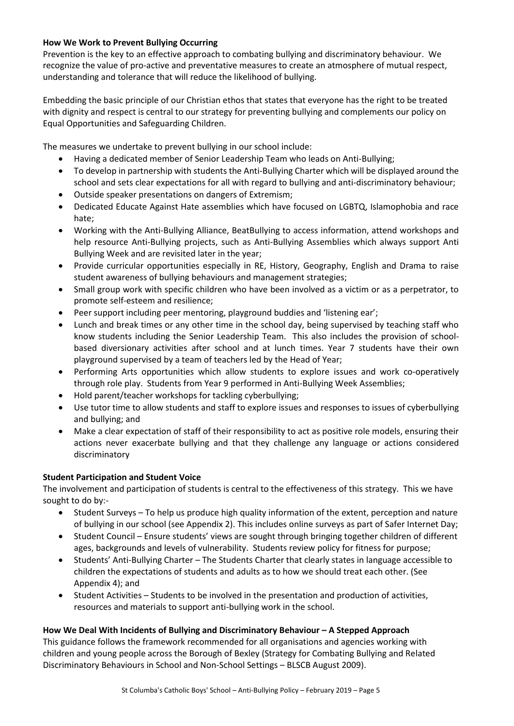#### **How We Work to Prevent Bullying Occurring**

Prevention is the key to an effective approach to combating bullying and discriminatory behaviour. We recognize the value of pro-active and preventative measures to create an atmosphere of mutual respect, understanding and tolerance that will reduce the likelihood of bullying.

Embedding the basic principle of our Christian ethos that states that everyone has the right to be treated with dignity and respect is central to our strategy for preventing bullying and complements our policy on Equal Opportunities and Safeguarding Children.

The measures we undertake to prevent bullying in our school include:

- Having a dedicated member of Senior Leadership Team who leads on Anti-Bullying;
- To develop in partnership with students the Anti-Bullying Charter which will be displayed around the school and sets clear expectations for all with regard to bullying and anti-discriminatory behaviour;
- Outside speaker presentations on dangers of Extremism;
- Dedicated Educate Against Hate assemblies which have focused on LGBTQ, Islamophobia and race hate;
- Working with the Anti-Bullying Alliance, BeatBullying to access information, attend workshops and help resource Anti-Bullying projects, such as Anti-Bullying Assemblies which always support Anti Bullying Week and are revisited later in the year;
- Provide curricular opportunities especially in RE, History, Geography, English and Drama to raise student awareness of bullying behaviours and management strategies;
- Small group work with specific children who have been involved as a victim or as a perpetrator, to promote self-esteem and resilience;
- Peer support including peer mentoring, playground buddies and 'listening ear';
- Lunch and break times or any other time in the school day, being supervised by teaching staff who know students including the Senior Leadership Team. This also includes the provision of schoolbased diversionary activities after school and at lunch times. Year 7 students have their own playground supervised by a team of teachers led by the Head of Year;
- Performing Arts opportunities which allow students to explore issues and work co-operatively through role play. Students from Year 9 performed in Anti-Bullying Week Assemblies;
- Hold parent/teacher workshops for tackling cyberbullying;
- Use tutor time to allow students and staff to explore issues and responses to issues of cyberbullying and bullying; and
- Make a clear expectation of staff of their responsibility to act as positive role models, ensuring their actions never exacerbate bullying and that they challenge any language or actions considered discriminatory

#### **Student Participation and Student Voice**

The involvement and participation of students is central to the effectiveness of this strategy. This we have sought to do by:-

- Student Surveys To help us produce high quality information of the extent, perception and nature of bullying in our school (see Appendix 2). This includes online surveys as part of Safer Internet Day;
- Student Council Ensure students' views are sought through bringing together children of different ages, backgrounds and levels of vulnerability. Students review policy for fitness for purpose;
- Students' Anti-Bullying Charter The Students Charter that clearly states in language accessible to children the expectations of students and adults as to how we should treat each other. (See Appendix 4); and
- Student Activities Students to be involved in the presentation and production of activities, resources and materials to support anti-bullying work in the school.

#### **How We Deal With Incidents of Bullying and Discriminatory Behaviour – A Stepped Approach**

This guidance follows the framework recommended for all organisations and agencies working with children and young people across the Borough of Bexley (Strategy for Combating Bullying and Related Discriminatory Behaviours in School and Non-School Settings – BLSCB August 2009).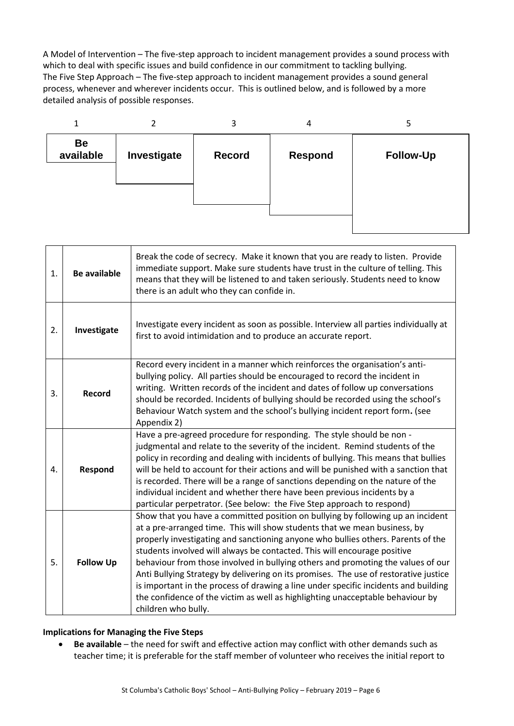A Model of Intervention – The five-step approach to incident management provides a sound process with which to deal with specific issues and build confidence in our commitment to tackling bullying. The Five Step Approach – The five-step approach to incident management provides a sound general process, whenever and wherever incidents occur. This is outlined below, and is followed by a more detailed analysis of possible responses.



| 1. | <b>Be available</b> | Break the code of secrecy. Make it known that you are ready to listen. Provide<br>immediate support. Make sure students have trust in the culture of telling. This<br>means that they will be listened to and taken seriously. Students need to know<br>there is an adult who they can confide in.                                                                                                                                                                                                                                                                                                                                                                                                       |
|----|---------------------|----------------------------------------------------------------------------------------------------------------------------------------------------------------------------------------------------------------------------------------------------------------------------------------------------------------------------------------------------------------------------------------------------------------------------------------------------------------------------------------------------------------------------------------------------------------------------------------------------------------------------------------------------------------------------------------------------------|
| 2. | Investigate         | Investigate every incident as soon as possible. Interview all parties individually at<br>first to avoid intimidation and to produce an accurate report.                                                                                                                                                                                                                                                                                                                                                                                                                                                                                                                                                  |
| 3. | <b>Record</b>       | Record every incident in a manner which reinforces the organisation's anti-<br>bullying policy. All parties should be encouraged to record the incident in<br>writing. Written records of the incident and dates of follow up conversations<br>should be recorded. Incidents of bullying should be recorded using the school's<br>Behaviour Watch system and the school's bullying incident report form. (see<br>Appendix 2)                                                                                                                                                                                                                                                                             |
| 4. | Respond             | Have a pre-agreed procedure for responding. The style should be non -<br>judgmental and relate to the severity of the incident. Remind students of the<br>policy in recording and dealing with incidents of bullying. This means that bullies<br>will be held to account for their actions and will be punished with a sanction that<br>is recorded. There will be a range of sanctions depending on the nature of the<br>individual incident and whether there have been previous incidents by a<br>particular perpetrator. (See below: the Five Step approach to respond)                                                                                                                              |
| 5. | <b>Follow Up</b>    | Show that you have a committed position on bullying by following up an incident<br>at a pre-arranged time. This will show students that we mean business, by<br>properly investigating and sanctioning anyone who bullies others. Parents of the<br>students involved will always be contacted. This will encourage positive<br>behaviour from those involved in bullying others and promoting the values of our<br>Anti Bullying Strategy by delivering on its promises. The use of restorative justice<br>is important in the process of drawing a line under specific incidents and building<br>the confidence of the victim as well as highlighting unacceptable behaviour by<br>children who bully. |

#### **Implications for Managing the Five Steps**

 **Be available** – the need for swift and effective action may conflict with other demands such as teacher time; it is preferable for the staff member of volunteer who receives the initial report to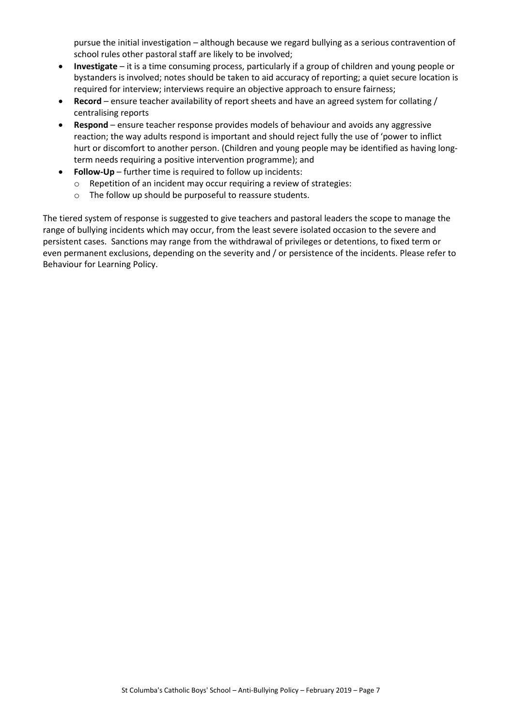pursue the initial investigation – although because we regard bullying as a serious contravention of school rules other pastoral staff are likely to be involved;

- **Investigate** it is a time consuming process, particularly if a group of children and young people or bystanders is involved; notes should be taken to aid accuracy of reporting; a quiet secure location is required for interview; interviews require an objective approach to ensure fairness;
- **Record** ensure teacher availability of report sheets and have an agreed system for collating / centralising reports
- **Respond** ensure teacher response provides models of behaviour and avoids any aggressive reaction; the way adults respond is important and should reject fully the use of 'power to inflict hurt or discomfort to another person. (Children and young people may be identified as having longterm needs requiring a positive intervention programme); and
- **Follow-Up** further time is required to follow up incidents:
	- o Repetition of an incident may occur requiring a review of strategies:
	- o The follow up should be purposeful to reassure students.

The tiered system of response is suggested to give teachers and pastoral leaders the scope to manage the range of bullying incidents which may occur, from the least severe isolated occasion to the severe and persistent cases. Sanctions may range from the withdrawal of privileges or detentions, to fixed term or even permanent exclusions, depending on the severity and / or persistence of the incidents. Please refer to Behaviour for Learning Policy.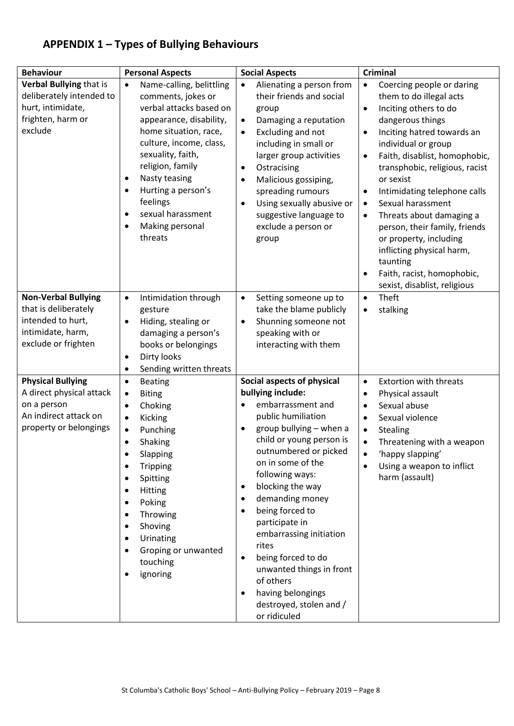# **APPENDIX 1 – Types of Bullying Behaviours**

| <b>Behaviour</b>                                                                                                       | <b>Personal Aspects</b>                                                                                                                                                                                                                                                                                      | <b>Social Aspects</b>                                                                                                                                                                                                                                                                                                                                                                                                                                                          | <b>Criminal</b>                                                                                                                                                                                                                                                                                                                                                                                                                                                                                                                                                                      |
|------------------------------------------------------------------------------------------------------------------------|--------------------------------------------------------------------------------------------------------------------------------------------------------------------------------------------------------------------------------------------------------------------------------------------------------------|--------------------------------------------------------------------------------------------------------------------------------------------------------------------------------------------------------------------------------------------------------------------------------------------------------------------------------------------------------------------------------------------------------------------------------------------------------------------------------|--------------------------------------------------------------------------------------------------------------------------------------------------------------------------------------------------------------------------------------------------------------------------------------------------------------------------------------------------------------------------------------------------------------------------------------------------------------------------------------------------------------------------------------------------------------------------------------|
| Verbal Bullying that is<br>deliberately intended to<br>hurt, intimidate,<br>frighten, harm or<br>exclude               | Name-calling, belittling<br>٠<br>comments, jokes or<br>verbal attacks based on<br>appearance, disability,<br>home situation, race,<br>culture, income, class,<br>sexuality, faith,<br>religion, family<br>Nasty teasing<br>Hurting a person's<br>feelings<br>sexual harassment<br>Making personal<br>threats | Alienating a person from<br>their friends and social<br>group<br>Damaging a reputation<br>$\bullet$<br>Excluding and not<br>including in small or<br>larger group activities<br>Ostracising<br>Malicious gossiping,<br>spreading rumours<br>Using sexually abusive or<br>suggestive language to<br>exclude a person or<br>group                                                                                                                                                | Coercing people or daring<br>$\bullet$<br>them to do illegal acts<br>Inciting others to do<br>$\bullet$<br>dangerous things<br>Inciting hatred towards an<br>$\bullet$<br>individual or group<br>Faith, disablist, homophobic,<br>$\bullet$<br>transphobic, religious, racist<br>or sexist<br>Intimidating telephone calls<br>$\bullet$<br>Sexual harassment<br>$\bullet$<br>Threats about damaging a<br>$\bullet$<br>person, their family, friends<br>or property, including<br>inflicting physical harm,<br>taunting<br>Faith, racist, homophobic,<br>sexist, disablist, religious |
| <b>Non-Verbal Bullying</b><br>that is deliberately<br>intended to hurt,<br>intimidate, harm,<br>exclude or frighten    | Intimidation through<br>$\bullet$<br>gesture<br>Hiding, stealing or<br>damaging a person's<br>books or belongings<br>Dirty looks<br>٠<br>Sending written threats<br>٠                                                                                                                                        | Setting someone up to<br>take the blame publicly<br>Shunning someone not<br>speaking with or<br>interacting with them                                                                                                                                                                                                                                                                                                                                                          | Theft<br>$\bullet$<br>stalking<br>$\bullet$                                                                                                                                                                                                                                                                                                                                                                                                                                                                                                                                          |
| <b>Physical Bullying</b><br>A direct physical attack<br>on a person<br>An indirect attack on<br>property or belongings | <b>Beating</b><br>٠<br><b>Biting</b><br>٠<br>Choking<br>٠<br>Kicking<br>٠<br>Punching<br>Shaking<br>Slapping<br><b>Tripping</b><br>Spitting<br>Hitting<br>$\bullet$<br>Poking<br>Throwing<br>Shoving<br>٠<br>Urinating<br>Groping or unwanted<br>touching<br>ignoring                                        | Social aspects of physical<br>bullying include:<br>embarrassment and<br>public humiliation<br>group bullying - when a<br>child or young person is<br>outnumbered or picked<br>on in some of the<br>following ways:<br>blocking the way<br>demanding money<br>being forced to<br>participate in<br>embarrassing initiation<br>rites<br>being forced to do<br>$\bullet$<br>unwanted things in front<br>of others<br>having belongings<br>destroyed, stolen and /<br>or ridiculed | <b>Extortion with threats</b><br>$\bullet$<br>Physical assault<br>$\bullet$<br>Sexual abuse<br>$\bullet$<br>Sexual violence<br>$\bullet$<br>Stealing<br>$\bullet$<br>Threatening with a weapon<br>٠<br>'happy slapping'<br>Using a weapon to inflict<br>harm (assault)                                                                                                                                                                                                                                                                                                               |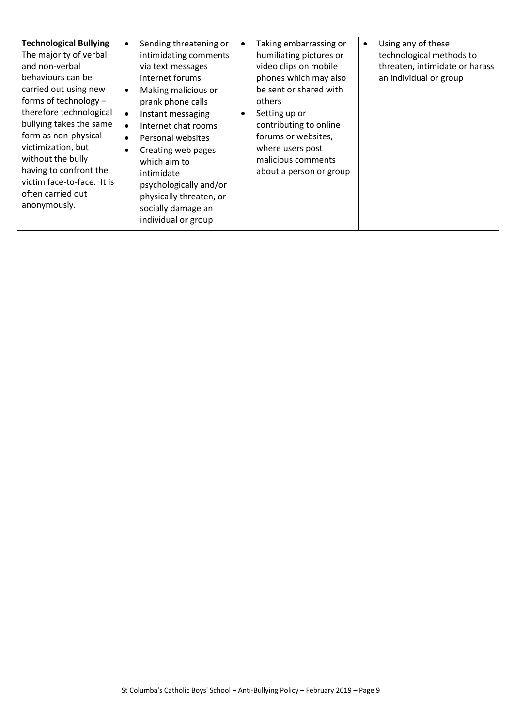| <b>Technological Bullying</b><br>The majority of verbal<br>and non-verbal<br>behaviours can be<br>carried out using new<br>forms of technology -<br>therefore technological<br>bullying takes the same<br>form as non-physical<br>victimization, but<br>without the bully<br>having to confront the<br>victim face-to-face. It is<br>often carried out<br>anonymously. | Sending threatening or<br>intimidating comments<br>via text messages<br>internet forums<br>Making malicious or<br>prank phone calls<br>Instant messaging<br>$\bullet$<br>Internet chat rooms<br>Personal websites<br>$\bullet$<br>Creating web pages<br>which aim to<br>intimidate<br>psychologically and/or<br>physically threaten, or<br>socially damage an<br>individual or group | Taking embarrassing or<br>humiliating pictures or<br>video clips on mobile<br>phones which may also<br>be sent or shared with<br>others<br>Setting up or<br>contributing to online<br>forums or websites,<br>where users post<br>malicious comments<br>about a person or group | Using any of these<br>$\bullet$<br>technological methods to<br>threaten, intimidate or harass<br>an individual or group |
|------------------------------------------------------------------------------------------------------------------------------------------------------------------------------------------------------------------------------------------------------------------------------------------------------------------------------------------------------------------------|--------------------------------------------------------------------------------------------------------------------------------------------------------------------------------------------------------------------------------------------------------------------------------------------------------------------------------------------------------------------------------------|--------------------------------------------------------------------------------------------------------------------------------------------------------------------------------------------------------------------------------------------------------------------------------|-------------------------------------------------------------------------------------------------------------------------|
|------------------------------------------------------------------------------------------------------------------------------------------------------------------------------------------------------------------------------------------------------------------------------------------------------------------------------------------------------------------------|--------------------------------------------------------------------------------------------------------------------------------------------------------------------------------------------------------------------------------------------------------------------------------------------------------------------------------------------------------------------------------------|--------------------------------------------------------------------------------------------------------------------------------------------------------------------------------------------------------------------------------------------------------------------------------|-------------------------------------------------------------------------------------------------------------------------|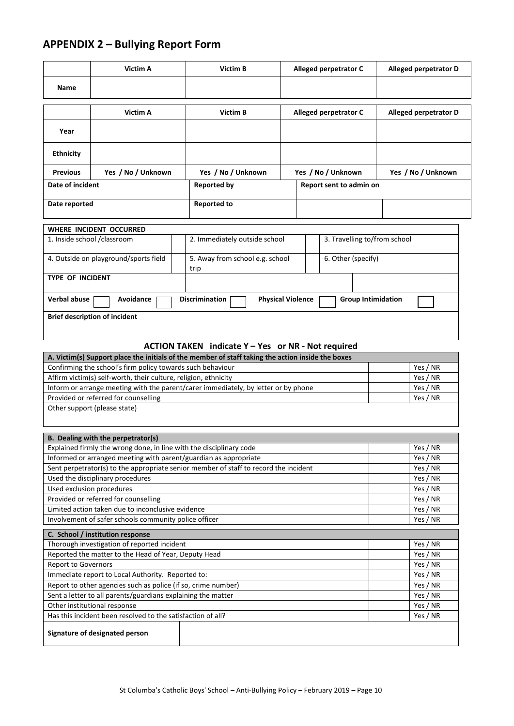# **APPENDIX 2 – Bullying Report Form**

|                                                                                    | Victim A                                                            | Victim B                                                                                                                                                |          |  | Alleged perpetrator C        | Alleged perpetrator D     |  |
|------------------------------------------------------------------------------------|---------------------------------------------------------------------|---------------------------------------------------------------------------------------------------------------------------------------------------------|----------|--|------------------------------|---------------------------|--|
| Name                                                                               |                                                                     |                                                                                                                                                         |          |  |                              |                           |  |
|                                                                                    |                                                                     |                                                                                                                                                         |          |  |                              |                           |  |
|                                                                                    | Victim A                                                            | Victim B                                                                                                                                                |          |  | Alleged perpetrator C        | Alleged perpetrator D     |  |
|                                                                                    |                                                                     |                                                                                                                                                         |          |  |                              |                           |  |
| Year                                                                               |                                                                     |                                                                                                                                                         |          |  |                              |                           |  |
| <b>Ethnicity</b>                                                                   |                                                                     |                                                                                                                                                         |          |  |                              |                           |  |
| <b>Previous</b>                                                                    | Yes / No / Unknown                                                  | Yes / No / Unknown                                                                                                                                      |          |  | Yes / No / Unknown           | Yes / No / Unknown        |  |
| Date of incident                                                                   |                                                                     | <b>Reported by</b>                                                                                                                                      |          |  | Report sent to admin on      |                           |  |
| Date reported                                                                      |                                                                     | <b>Reported to</b>                                                                                                                                      |          |  |                              |                           |  |
|                                                                                    |                                                                     |                                                                                                                                                         |          |  |                              |                           |  |
|                                                                                    | WHERE INCIDENT OCCURRED                                             |                                                                                                                                                         |          |  |                              |                           |  |
| 1. Inside school / classroom                                                       |                                                                     | 2. Immediately outside school                                                                                                                           |          |  | 3. Travelling to/from school |                           |  |
|                                                                                    | 4. Outside on playground/sports field                               | 5. Away from school e.g. school                                                                                                                         |          |  | 6. Other (specify)           |                           |  |
| <b>TYPE OF INCIDENT</b>                                                            |                                                                     | trip                                                                                                                                                    |          |  |                              |                           |  |
|                                                                                    |                                                                     |                                                                                                                                                         |          |  |                              |                           |  |
| <b>Verbal abuse</b>                                                                | Avoidance                                                           | Discrimination<br><b>Physical Violence</b>                                                                                                              |          |  |                              | <b>Group Intimidation</b> |  |
|                                                                                    | <b>Brief description of incident</b>                                |                                                                                                                                                         |          |  |                              |                           |  |
|                                                                                    |                                                                     |                                                                                                                                                         |          |  |                              |                           |  |
|                                                                                    |                                                                     |                                                                                                                                                         |          |  |                              |                           |  |
|                                                                                    |                                                                     | ACTION TAKEN indicate Y - Yes or NR - Not required<br>A. Victim(s) Support place the initials of the member of staff taking the action inside the boxes |          |  |                              |                           |  |
|                                                                                    | Confirming the school's firm policy towards such behaviour          |                                                                                                                                                         |          |  |                              | Yes / NR                  |  |
| Affirm victim(s) self-worth, their culture, religion, ethnicity                    |                                                                     |                                                                                                                                                         | Yes / NR |  |                              |                           |  |
| Inform or arrange meeting with the parent/carer immediately, by letter or by phone |                                                                     |                                                                                                                                                         | Yes / NR |  |                              |                           |  |
| Provided or referred for counselling<br>Yes / NR                                   |                                                                     |                                                                                                                                                         |          |  |                              |                           |  |
| Other support (please state)                                                       |                                                                     |                                                                                                                                                         |          |  |                              |                           |  |
|                                                                                    |                                                                     |                                                                                                                                                         |          |  |                              |                           |  |
|                                                                                    | B. Dealing with the perpetrator(s)                                  |                                                                                                                                                         |          |  |                              |                           |  |
|                                                                                    | Explained firmly the wrong done, in line with the disciplinary code |                                                                                                                                                         |          |  |                              | Yes / NR                  |  |
|                                                                                    | Informed or arranged meeting with parent/guardian as appropriate    |                                                                                                                                                         |          |  |                              | Yes / NR                  |  |
|                                                                                    |                                                                     | Sent perpetrator(s) to the appropriate senior member of staff to record the incident                                                                    |          |  |                              | Yes / NR                  |  |
|                                                                                    | Used the disciplinary procedures                                    |                                                                                                                                                         |          |  |                              | Yes / NR                  |  |
| Used exclusion procedures                                                          |                                                                     |                                                                                                                                                         |          |  |                              | Yes / NR                  |  |
|                                                                                    | Provided or referred for counselling                                |                                                                                                                                                         |          |  |                              | Yes / NR                  |  |
|                                                                                    | Limited action taken due to inconclusive evidence                   |                                                                                                                                                         |          |  |                              | Yes / NR                  |  |
|                                                                                    | Involvement of safer schools community police officer               |                                                                                                                                                         |          |  |                              | Yes / NR                  |  |
|                                                                                    | C. School / institution response                                    |                                                                                                                                                         |          |  |                              |                           |  |
|                                                                                    | Thorough investigation of reported incident                         |                                                                                                                                                         |          |  |                              | Yes / NR                  |  |
| Reported the matter to the Head of Year, Deputy Head                               |                                                                     |                                                                                                                                                         | Yes / NR |  |                              |                           |  |
| Report to Governors                                                                |                                                                     |                                                                                                                                                         | Yes / NR |  |                              |                           |  |
| Immediate report to Local Authority. Reported to:                                  |                                                                     |                                                                                                                                                         | Yes / NR |  |                              |                           |  |
| Report to other agencies such as police (if so, crime number)                      |                                                                     |                                                                                                                                                         | Yes / NR |  |                              |                           |  |
| Sent a letter to all parents/guardians explaining the matter                       |                                                                     |                                                                                                                                                         | Yes / NR |  |                              |                           |  |
| Other institutional response                                                       |                                                                     |                                                                                                                                                         | Yes / NR |  |                              |                           |  |
|                                                                                    | Has this incident been resolved to the satisfaction of all?         |                                                                                                                                                         |          |  |                              | Yes / NR                  |  |
|                                                                                    | Signature of designated person                                      |                                                                                                                                                         |          |  |                              |                           |  |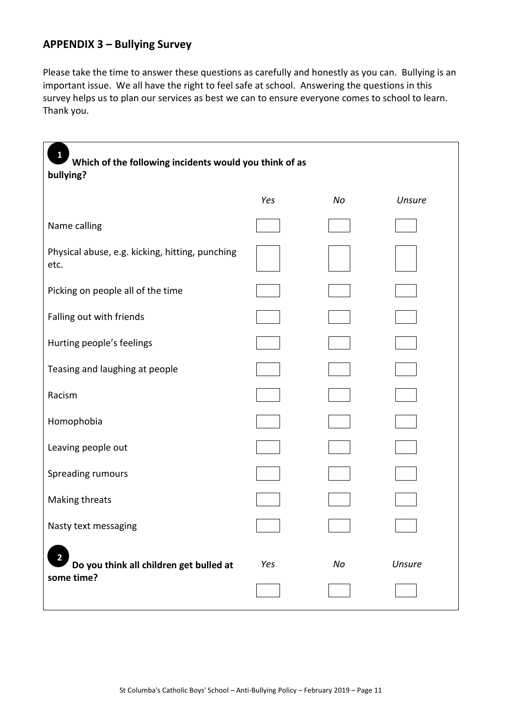## **APPENDIX 3 – Bullying Survey**

Please take the time to answer these questions as carefully and honestly as you can. Bullying is an important issue. We all have the right to feel safe at school. Answering the questions in this survey helps us to plan our services as best we can to ensure everyone comes to school to learn. Thank you.

| Which of the following incidents would you think of as<br>bullying? |     |    |        |
|---------------------------------------------------------------------|-----|----|--------|
|                                                                     | Yes | No | Unsure |
| Name calling                                                        |     |    |        |
| Physical abuse, e.g. kicking, hitting, punching<br>etc.             |     |    |        |
| Picking on people all of the time                                   |     |    |        |
| Falling out with friends                                            |     |    |        |
| Hurting people's feelings                                           |     |    |        |
| Teasing and laughing at people                                      |     |    |        |
| Racism                                                              |     |    |        |
| Homophobia                                                          |     |    |        |
| Leaving people out                                                  |     |    |        |
| Spreading rumours                                                   |     |    |        |
| Making threats                                                      |     |    |        |
| Nasty text messaging                                                |     |    |        |
| 2<br>Do you think all children get bulled at<br>some time?          | Yes | No | Unsure |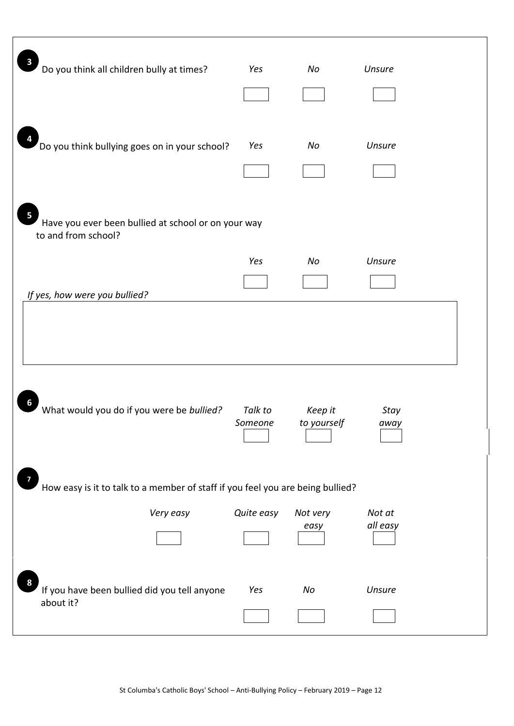| 3<br>Do you think all children bully at times?                                  | Yes                | No                     | Unsure             |
|---------------------------------------------------------------------------------|--------------------|------------------------|--------------------|
| 4<br>Do you think bullying goes on in your school?                              | Yes                | No                     | Unsure             |
| 5<br>Have you ever been bullied at school or on your way<br>to and from school? |                    |                        |                    |
|                                                                                 | Yes                | No                     | <b>Unsure</b>      |
| If yes, how were you bullied?                                                   |                    |                        |                    |
| 6<br>What would you do if you were be bullied?                                  | Talk to<br>Someone | Keep it<br>to yourself | Stay<br>away       |
| How easy is it to talk to a member of staff if you feel you are being bullied?  |                    |                        |                    |
| Very easy                                                                       | Quite easy         | Not very<br>easy       | Not at<br>all easy |
| 8<br>If you have been bullied did you tell anyone<br>about it?                  | Yes                | No                     | Unsure             |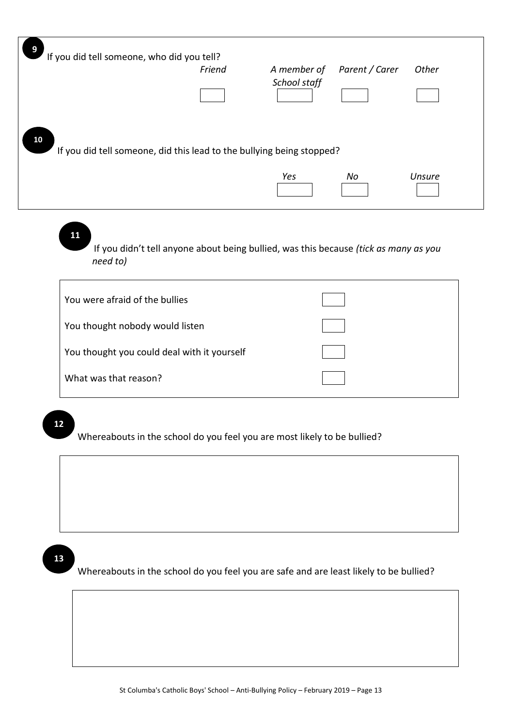| 9  | If you did tell someone, who did you tell?                            |        |              |                |        |
|----|-----------------------------------------------------------------------|--------|--------------|----------------|--------|
|    |                                                                       | Friend | A member of  | Parent / Carer | Other  |
|    |                                                                       |        | School staff |                |        |
|    |                                                                       |        |              |                |        |
| 10 | If you did tell someone, did this lead to the bullying being stopped? |        | Yes          | No             | Unsure |

**11**

 If you didn't tell anyone about being bullied, was this because *(tick as many as you need to)*

| You were afraid of the bullies              |  |
|---------------------------------------------|--|
| You thought nobody would listen             |  |
| You thought you could deal with it yourself |  |
| What was that reason?                       |  |

# **12**

Whereabouts in the school do you feel you are most likely to be bullied?

# **13**

Whereabouts in the school do you feel you are safe and are least likely to be bullied?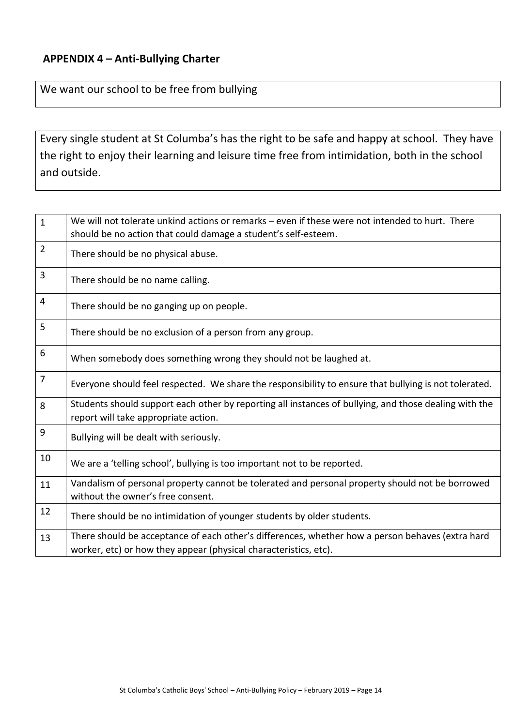## **APPENDIX 4 – Anti-Bullying Charter**

## We want our school to be free from bullying

Every single student at St Columba's has the right to be safe and happy at school. They have the right to enjoy their learning and leisure time free from intimidation, both in the school and outside.

| $\mathbf{1}$   | We will not tolerate unkind actions or remarks – even if these were not intended to hurt. There<br>should be no action that could damage a student's self-esteem.    |
|----------------|----------------------------------------------------------------------------------------------------------------------------------------------------------------------|
| $\overline{2}$ | There should be no physical abuse.                                                                                                                                   |
| 3              | There should be no name calling.                                                                                                                                     |
| 4              | There should be no ganging up on people.                                                                                                                             |
| 5              | There should be no exclusion of a person from any group.                                                                                                             |
| 6              | When somebody does something wrong they should not be laughed at.                                                                                                    |
| $\overline{7}$ | Everyone should feel respected. We share the responsibility to ensure that bullying is not tolerated.                                                                |
| 8              | Students should support each other by reporting all instances of bullying, and those dealing with the<br>report will take appropriate action.                        |
| 9              | Bullying will be dealt with seriously.                                                                                                                               |
| 10             | We are a 'telling school', bullying is too important not to be reported.                                                                                             |
| 11             | Vandalism of personal property cannot be tolerated and personal property should not be borrowed<br>without the owner's free consent.                                 |
| 12             | There should be no intimidation of younger students by older students.                                                                                               |
| 13             | There should be acceptance of each other's differences, whether how a person behaves (extra hard<br>worker, etc) or how they appear (physical characteristics, etc). |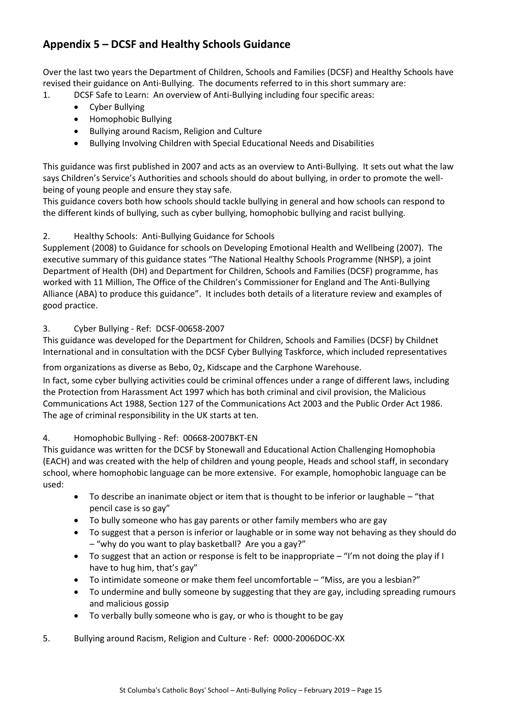# **Appendix 5 – DCSF and Healthy Schools Guidance**

Over the last two years the Department of Children, Schools and Families (DCSF) and Healthy Schools have revised their guidance on Anti-Bullying. The documents referred to in this short summary are:

- 1. DCSF Safe to Learn: An overview of Anti-Bullying including four specific areas:
	- Cyber Bullying
	- Homophobic Bullying
	- Bullying around Racism, Religion and Culture
	- Bullying Involving Children with Special Educational Needs and Disabilities

This guidance was first published in 2007 and acts as an overview to Anti-Bullying. It sets out what the law says Children's Service's Authorities and schools should do about bullying, in order to promote the wellbeing of young people and ensure they stay safe.

This guidance covers both how schools should tackle bullying in general and how schools can respond to the different kinds of bullying, such as cyber bullying, homophobic bullying and racist bullying.

### 2. Healthy Schools: Anti-Bullying Guidance for Schools

Supplement (2008) to Guidance for schools on Developing Emotional Health and Wellbeing (2007). The executive summary of this guidance states "The National Healthy Schools Programme (NHSP), a joint Department of Health (DH) and Department for Children, Schools and Families (DCSF) programme, has worked with 11 Million, The Office of the Children's Commissioner for England and The Anti-Bullying Alliance (ABA) to produce this guidance". It includes both details of a literature review and examples of good practice.

#### 3. Cyber Bullying - Ref: DCSF-00658-2007

This guidance was developed for the Department for Children, Schools and Families (DCSF) by Childnet International and in consultation with the DCSF Cyber Bullying Taskforce, which included representatives

from organizations as diverse as Bebo, 02, Kidscape and the Carphone Warehouse.

In fact, some cyber bullying activities could be criminal offences under a range of different laws, including the Protection from Harassment Act 1997 which has both criminal and civil provision, the Malicious Communications Act 1988, Section 127 of the Communications Act 2003 and the Public Order Act 1986. The age of criminal responsibility in the UK starts at ten.

#### 4. Homophobic Bullying - Ref: 00668-2007BKT-EN

This guidance was written for the DCSF by Stonewall and Educational Action Challenging Homophobia (EACH) and was created with the help of children and young people, Heads and school staff, in secondary school, where homophobic language can be more extensive. For example, homophobic language can be used:

- To describe an inanimate object or item that is thought to be inferior or laughable "that pencil case is so gay"
- To bully someone who has gay parents or other family members who are gay
- To suggest that a person is inferior or laughable or in some way not behaving as they should do – "why do you want to play basketball? Are you a gay?"
- To suggest that an action or response is felt to be inappropriate "I'm not doing the play if I have to hug him, that's gay"
- To intimidate someone or make them feel uncomfortable "Miss, are you a lesbian?"
- To undermine and bully someone by suggesting that they are gay, including spreading rumours and malicious gossip
- To verbally bully someone who is gay, or who is thought to be gay
- 5. Bullying around Racism, Religion and Culture Ref: 0000-2006DOC-XX